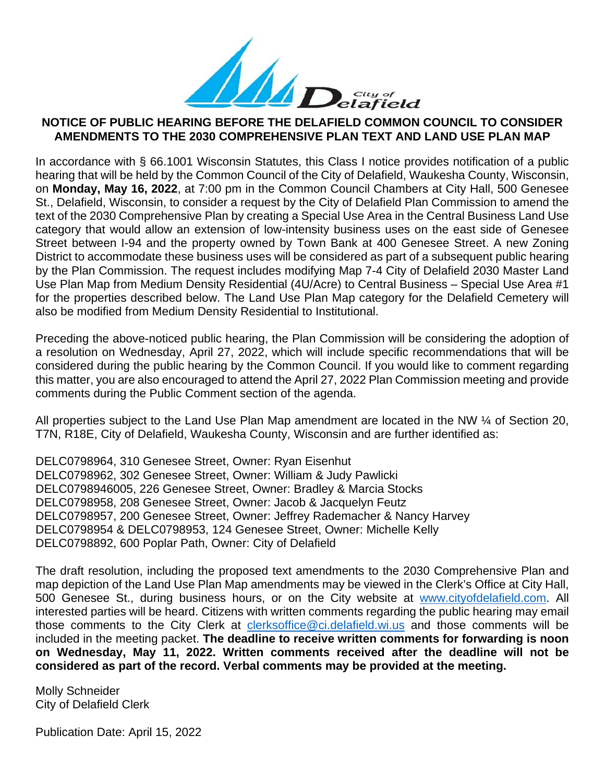

# **NOTICE OF PUBLIC HEARING BEFORE THE DELAFIELD COMMON COUNCIL TO CONSIDER AMENDMENTS TO THE 2030 COMPREHENSIVE PLAN TEXT AND LAND USE PLAN MAP**

In accordance with § 66.1001 Wisconsin Statutes, this Class I notice provides notification of a public hearing that will be held by the Common Council of the City of Delafield, Waukesha County, Wisconsin, on **Monday, May 16, 2022**, at 7:00 pm in the Common Council Chambers at City Hall, 500 Genesee St., Delafield, Wisconsin, to consider a request by the City of Delafield Plan Commission to amend the text of the 2030 Comprehensive Plan by creating a Special Use Area in the Central Business Land Use category that would allow an extension of low-intensity business uses on the east side of Genesee Street between I-94 and the property owned by Town Bank at 400 Genesee Street. A new Zoning District to accommodate these business uses will be considered as part of a subsequent public hearing by the Plan Commission. The request includes modifying Map 7-4 City of Delafield 2030 Master Land Use Plan Map from Medium Density Residential (4U/Acre) to Central Business – Special Use Area #1 for the properties described below. The Land Use Plan Map category for the Delafield Cemetery will also be modified from Medium Density Residential to Institutional.

Preceding the above-noticed public hearing, the Plan Commission will be considering the adoption of a resolution on Wednesday, April 27, 2022, which will include specific recommendations that will be considered during the public hearing by the Common Council. If you would like to comment regarding this matter, you are also encouraged to attend the April 27, 2022 Plan Commission meeting and provide comments during the Public Comment section of the agenda.

All properties subject to the Land Use Plan Map amendment are located in the NW ¼ of Section 20, T7N, R18E, City of Delafield, Waukesha County, Wisconsin and are further identified as:

DELC0798964, 310 Genesee Street, Owner: Ryan Eisenhut DELC0798962, 302 Genesee Street, Owner: William & Judy Pawlicki DELC0798946005, 226 Genesee Street, Owner: Bradley & Marcia Stocks DELC0798958, 208 Genesee Street, Owner: Jacob & Jacquelyn Feutz DELC0798957, 200 Genesee Street, Owner: Jeffrey Rademacher & Nancy Harvey DELC0798954 & DELC0798953, 124 Genesee Street, Owner: Michelle Kelly DELC0798892, 600 Poplar Path, Owner: City of Delafield

The draft resolution, including the proposed text amendments to the 2030 Comprehensive Plan and map depiction of the Land Use Plan Map amendments may be viewed in the Clerk's Office at City Hall, 500 Genesee St., during business hours, or on the City website at [www.cityofdelafield.com.](http://www.cityofdelafield.com/) All interested parties will be heard. Citizens with written comments regarding the public hearing may email those comments to the City Clerk at [clerksoffice@ci.delafield.wi.us](mailto:clerksoffice@ci.delafield.wi.us) and those comments will be included in the meeting packet. **The deadline to receive written comments for forwarding is noon on Wednesday, May 11, 2022. Written comments received after the deadline will not be considered as part of the record. Verbal comments may be provided at the meeting.**

Molly Schneider City of Delafield Clerk

Publication Date: April 15, 2022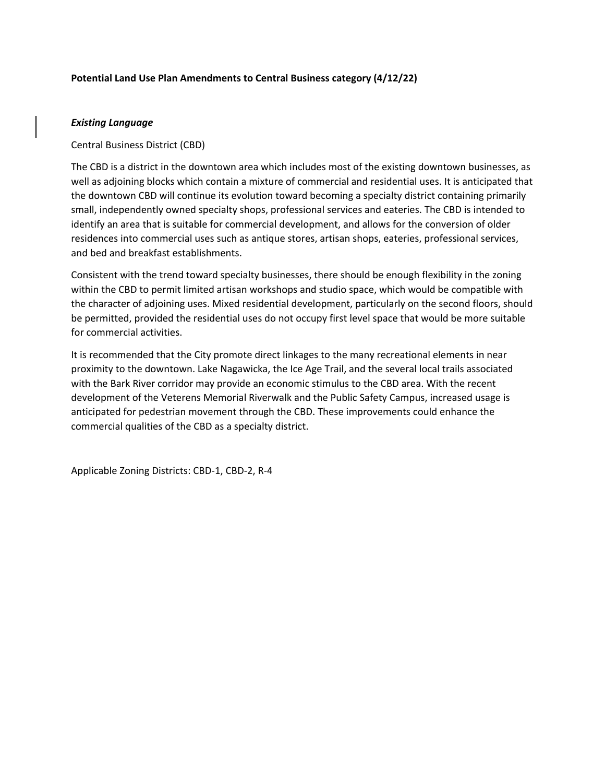## **Potential Land Use Plan Amendments to Central Business category (4/12/22)**

## *Existing Language*

Central Business District (CBD)

The CBD is a district in the downtown area which includes most of the existing downtown businesses, as well as adjoining blocks which contain a mixture of commercial and residential uses. It is anticipated that the downtown CBD will continue its evolution toward becoming a specialty district containing primarily small, independently owned specialty shops, professional services and eateries. The CBD is intended to identify an area that is suitable for commercial development, and allows for the conversion of older residences into commercial uses such as antique stores, artisan shops, eateries, professional services, and bed and breakfast establishments.

Consistent with the trend toward specialty businesses, there should be enough flexibility in the zoning within the CBD to permit limited artisan workshops and studio space, which would be compatible with the character of adjoining uses. Mixed residential development, particularly on the second floors, should be permitted, provided the residential uses do not occupy first level space that would be more suitable for commercial activities.

It is recommended that the City promote direct linkages to the many recreational elements in near proximity to the downtown. Lake Nagawicka, the Ice Age Trail, and the several local trails associated with the Bark River corridor may provide an economic stimulus to the CBD area. With the recent development of the Veterens Memorial Riverwalk and the Public Safety Campus, increased usage is anticipated for pedestrian movement through the CBD. These improvements could enhance the commercial qualities of the CBD as a specialty district.

Applicable Zoning Districts: CBD-1, CBD-2, R-4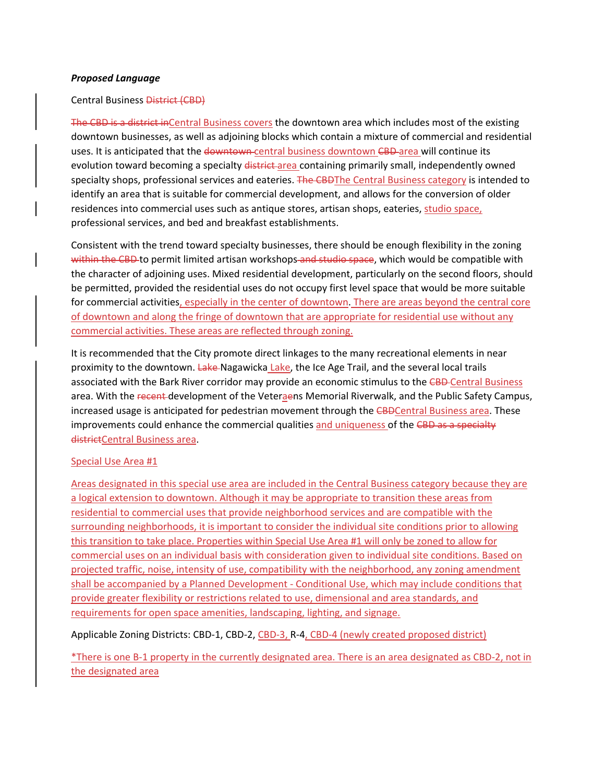## *Proposed Language*

## Central Business District (CBD)

The CBD is a district inCentral Business covers the downtown area which includes most of the existing downtown businesses, as well as adjoining blocks which contain a mixture of commercial and residential uses. It is anticipated that the downtown-central business downtown CBD-area will continue its evolution toward becoming a specialty district-area containing primarily small, independently owned specialty shops, professional services and eateries. The CBDThe Central Business category is intended to identify an area that is suitable for commercial development, and allows for the conversion of older residences into commercial uses such as antique stores, artisan shops, eateries, studio space, professional services, and bed and breakfast establishments.

Consistent with the trend toward specialty businesses, there should be enough flexibility in the zoning within the CBD-to permit limited artisan workshops and studio space, which would be compatible with the character of adjoining uses. Mixed residential development, particularly on the second floors, should be permitted, provided the residential uses do not occupy first level space that would be more suitable for commercial activities, especially in the center of downtown. There are areas beyond the central core of downtown and along the fringe of downtown that are appropriate for residential use without any commercial activities. These areas are reflected through zoning.

It is recommended that the City promote direct linkages to the many recreational elements in near proximity to the downtown. Lake-Nagawicka Lake, the Ice Age Trail, and the several local trails associated with the Bark River corridor may provide an economic stimulus to the CBD-Central Business area. With the recent development of the Veteraens Memorial Riverwalk, and the Public Safety Campus, increased usage is anticipated for pedestrian movement through the CBDCentral Business area. These improvements could enhance the commercial qualities and uniqueness of the CBD as a specialty districtCentral Business area.

### Special Use Area #1

Areas designated in this special use area are included in the Central Business category because they are a logical extension to downtown. Although it may be appropriate to transition these areas from residential to commercial uses that provide neighborhood services and are compatible with the surrounding neighborhoods, it is important to consider the individual site conditions prior to allowing this transition to take place. Properties within Special Use Area #1 will only be zoned to allow for commercial uses on an individual basis with consideration given to individual site conditions. Based on projected traffic, noise, intensity of use, compatibility with the neighborhood, any zoning amendment shall be accompanied by a Planned Development - Conditional Use, which may include conditions that provide greater flexibility or restrictions related to use, dimensional and area standards, and requirements for open space amenities, landscaping, lighting, and signage.

Applicable Zoning Districts: CBD-1, CBD-2, CBD-3, R-4, CBD-4 (newly created proposed district)

\*There is one B-1 property in the currently designated area. There is an area designated as CBD-2, not in the designated area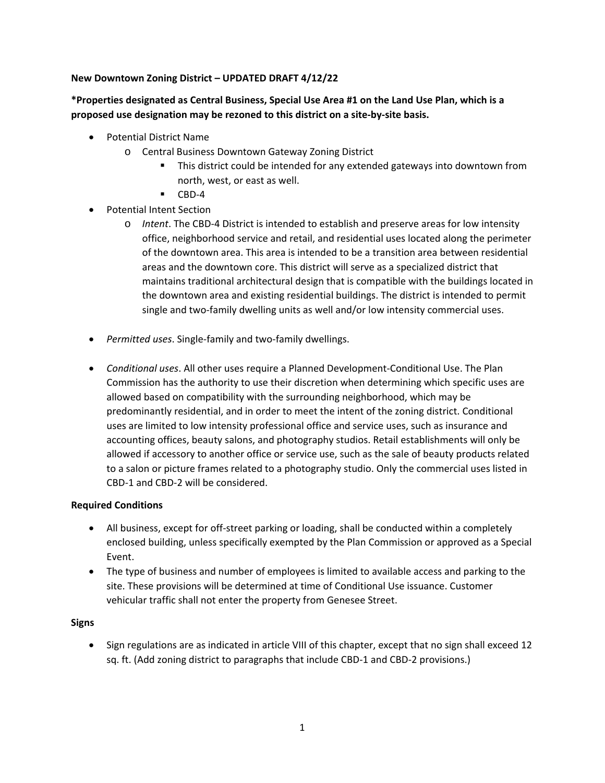## **New Downtown Zoning District – UPDATED DRAFT 4/12/22**

## **\*Properties designated as Central Business, Special Use Area #1 on the Land Use Plan, which is a proposed use designation may be rezoned to this district on a site-by-site basis.**

- Potential District Name
	- o Central Business Downtown Gateway Zoning District
		- This district could be intended for any extended gateways into downtown from north, west, or east as well.
		- $\blacksquare$  CBD-4
- Potential Intent Section
	- o *Intent*. The CBD-4 District is intended to establish and preserve areas for low intensity office, neighborhood service and retail, and residential uses located along the perimeter of the downtown area. This area is intended to be a transition area between residential areas and the downtown core. This district will serve as a specialized district that maintains traditional architectural design that is compatible with the buildings located in the downtown area and existing residential buildings. The district is intended to permit single and two-family dwelling units as well and/or low intensity commercial uses.
- *Permitted uses*. Single-family and two-family dwellings.
- *Conditional uses*. All other uses require a Planned Development-Conditional Use. The Plan Commission has the authority to use their discretion when determining which specific uses are allowed based on compatibility with the surrounding neighborhood, which may be predominantly residential, and in order to meet the intent of the zoning district. Conditional uses are limited to low intensity professional office and service uses, such as insurance and accounting offices, beauty salons, and photography studios. Retail establishments will only be allowed if accessory to another office or service use, such as the sale of beauty products related to a salon or picture frames related to a photography studio. Only the commercial uses listed in CBD-1 and CBD-2 will be considered.

## **Required Conditions**

- All business, except for off-street parking or loading, shall be conducted within a completely enclosed building, unless specifically exempted by the Plan Commission or approved as a Special Event.
- The type of business and number of employees is limited to available access and parking to the site. These provisions will be determined at time of Conditional Use issuance. Customer vehicular traffic shall not enter the property from Genesee Street.

## **Signs**

• Sign regulations are as indicated in article VIII of this chapter, except that no sign shall exceed 12 sq. ft. (Add zoning district to paragraphs that include CBD-1 and CBD-2 provisions.)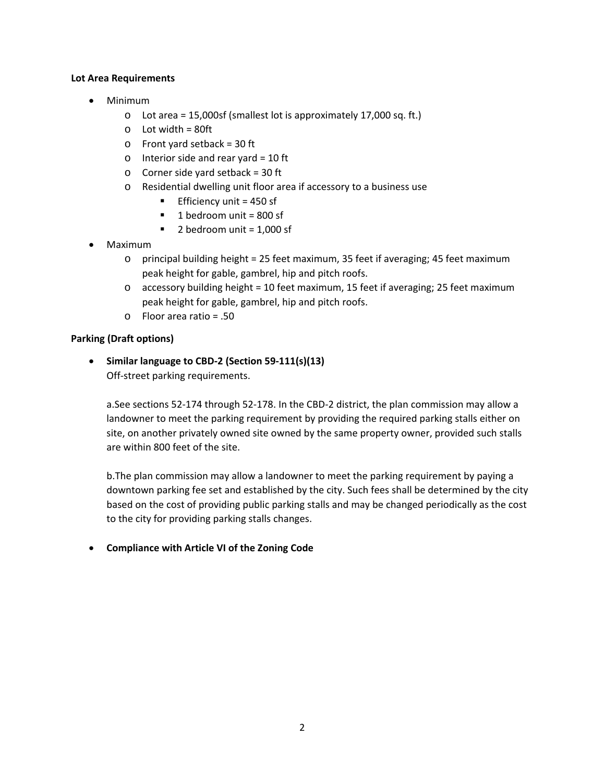## **Lot Area Requirements**

- Minimum
	- o Lot area = 15,000sf (smallest lot is approximately 17,000 sq. ft.)
	- $\circ$  Lot width = 80ft
	- o Front yard setback = 30 ft
	- $\circ$  Interior side and rear yard = 10 ft
	- $\circ$  Corner side yard setback = 30 ft
	- o Residential dwelling unit floor area if accessory to a business use
		- **Efficiency unit = 450 sf**
		- $\blacksquare$  1 bedroom unit = 800 sf
		- $\blacksquare$  2 bedroom unit = 1,000 sf
- Maximum
	- o principal building height = 25 feet maximum, 35 feet if averaging; 45 feet maximum peak height for gable, gambrel, hip and pitch roofs.
	- o accessory building height = 10 feet maximum, 15 feet if averaging; 25 feet maximum peak height for gable, gambrel, hip and pitch roofs.
	- o Floor area ratio = .50

## **Parking (Draft options)**

• **Similar language to CBD-2 (Section 59-111(s)(13)** Off-street parking requirements.

a.See sections 52-174 through 52-178. In the CBD-2 district, the plan commission may allow a landowner to meet the parking requirement by providing the required parking stalls either on site, on another privately owned site owned by the same property owner, provided such stalls are within 800 feet of the site.

b.The plan commission may allow a landowner to meet the parking requirement by paying a downtown parking fee set and established by the city. Such fees shall be determined by the city based on the cost of providing public parking stalls and may be changed periodically as the cost to the city for providing parking stalls changes.

• **Compliance with Article VI of the Zoning Code**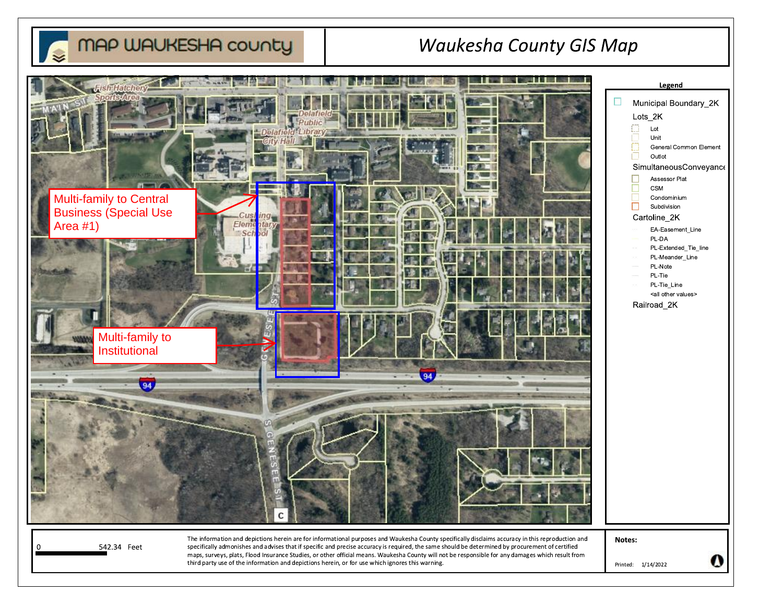